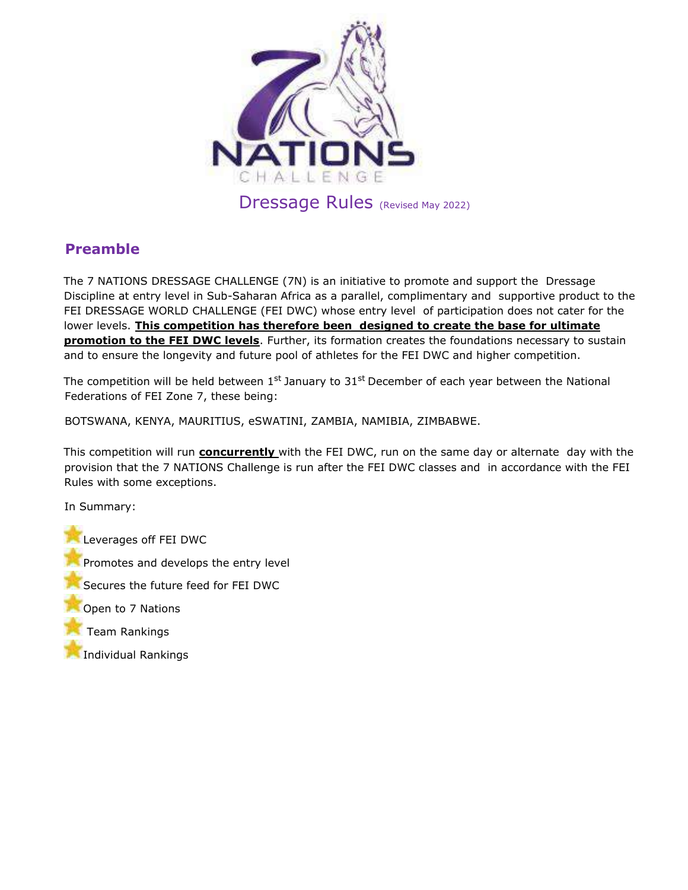

# **Preamble**

The 7 NATIONS DRESSAGE CHALLENGE (7N) is an initiative to promote and support the Dressage Discipline at entry level in Sub-Saharan Africa as a parallel, complimentary and supportive product to the FEI DRESSAGE WORLD CHALLENGE (FEI DWC) whose entry level of participation does not cater for the lower levels. **This competition has therefore been designed to create the base for ultimate promotion to the FEI DWC levels**. Further, its formation creates the foundations necessary to sustain and to ensure the longevity and future pool of athletes for the FEI DWC and higher competition.

The competition will be held between 1st January to 31st December of each year between the National Federations of FEI Zone 7, these being:

BOTSWANA, KENYA, MAURITIUS, eSWATINI, ZAMBIA, NAMIBIA, ZIMBABWE.

This competition will run **concurrently** with the FEI DWC, run on the same day or alternate day with the provision that the 7 NATIONS Challenge is run after the FEI DWC classes and in accordance with the FEI Rules with some exceptions.

In Summary:

**Leverages off FEI DWC** Promotes and develops the entry level Secures the future feed for FEI DWC Open to 7 Nations Team Rankings Individual Rankings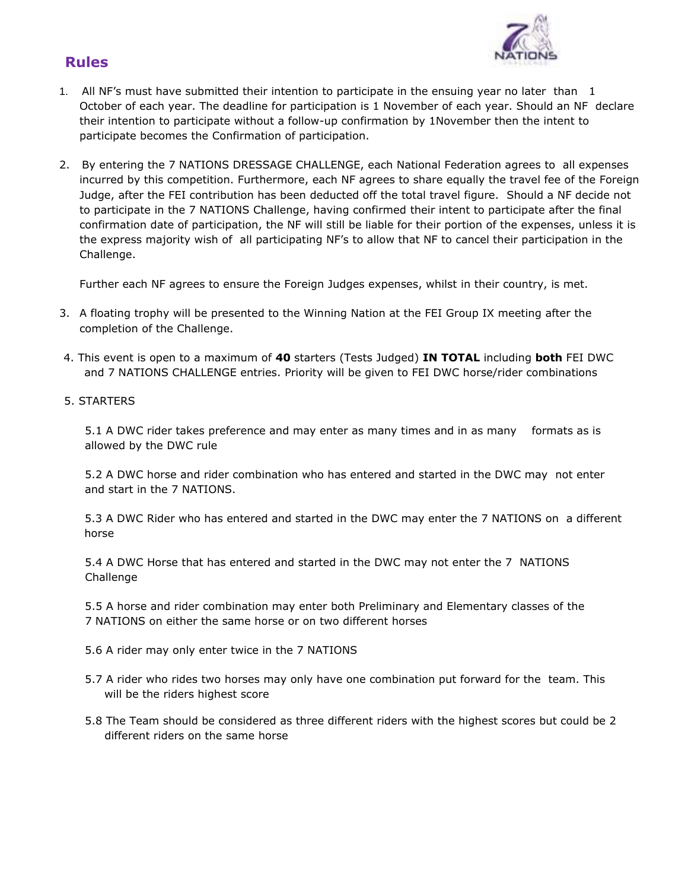

## **Rules**

- 1. All NF's must have submitted their intention to participate in the ensuing year no later than 1 October of each year. The deadline for participation is 1 November of each year. Should an NF declare their intention to participate without a follow-up confirmation by 1November then the intent to participate becomes the Confirmation of participation.
- 2. By entering the 7 NATIONS DRESSAGE CHALLENGE, each National Federation agrees to all expenses incurred by this competition. Furthermore, each NF agrees to share equally the travel fee of the Foreign Judge, after the FEI contribution has been deducted off the total travel figure. Should a NF decide not to participate in the 7 NATIONS Challenge, having confirmed their intent to participate after the final confirmation date of participation, the NF will still be liable for their portion of the expenses, unless it is the express majority wish of all participating NF's to allow that NF to cancel their participation in the Challenge.

Further each NF agrees to ensure the Foreign Judges expenses, whilst in their country, is met.

- 3. A floating trophy will be presented to the Winning Nation at the FEI Group IX meeting after the completion of the Challenge.
- 4. This event is open to a maximum of **40** starters (Tests Judged) **IN TOTAL** including **both** FEI DWC and 7 NATIONS CHALLENGE entries. Priority will be given to FEI DWC horse/rider combinations
- 5. STARTERS

5.1 A DWC rider takes preference and may enter as many times and in as many formats as is allowed by the DWC rule

5.2 A DWC horse and rider combination who has entered and started in the DWC may not enter and start in the 7 NATIONS.

5.3 A DWC Rider who has entered and started in the DWC may enter the 7 NATIONS on a different horse

5.4 A DWC Horse that has entered and started in the DWC may not enter the 7 NATIONS **Challenge** 

5.5 A horse and rider combination may enter both Preliminary and Elementary classes of the 7 NATIONS on either the same horse or on two different horses

- 5.6 A rider may only enter twice in the 7 NATIONS
- 5.7 A rider who rides two horses may only have one combination put forward for the team. This will be the riders highest score
- 5.8 The Team should be considered as three different riders with the highest scores but could be 2 different riders on the same horse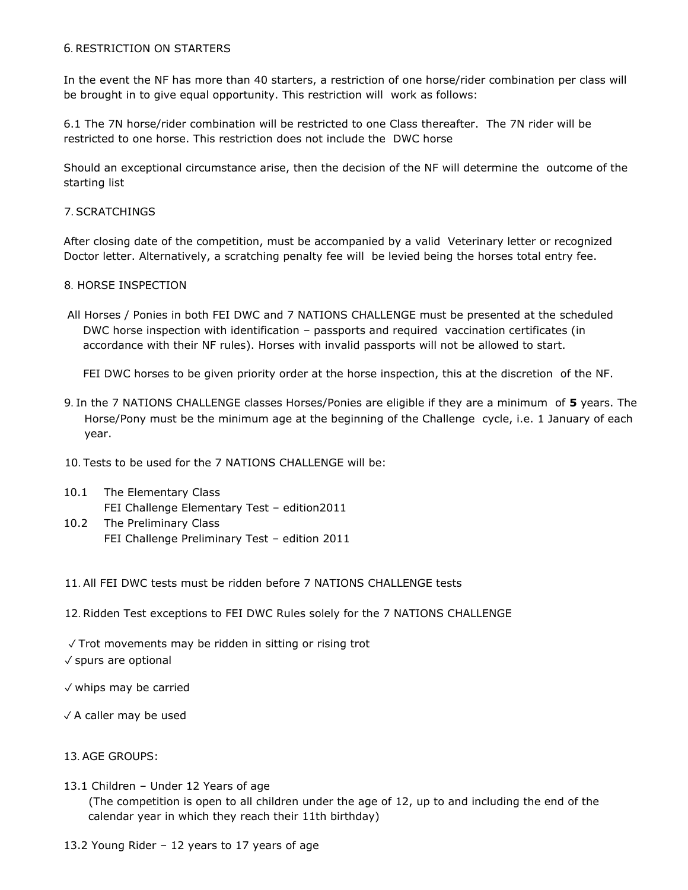### 6. RESTRICTION ON STARTERS

In the event the NF has more than 40 starters, a restriction of one horse/rider combination per class will be brought in to give equal opportunity. This restriction will work as follows:

6.1 The 7N horse/rider combination will be restricted to one Class thereafter. The 7N rider will be restricted to one horse. This restriction does not include the DWC horse

Should an exceptional circumstance arise, then the decision of the NF will determine the outcome of the starting list

#### 7. SCRATCHINGS

After closing date of the competition, must be accompanied by a valid Veterinary letter or recognized Doctor letter. Alternatively, a scratching penalty fee will be levied being the horses total entry fee.

#### 8. HORSE INSPECTION

All Horses / Ponies in both FEI DWC and 7 NATIONS CHALLENGE must be presented at the scheduled DWC horse inspection with identification – passports and required vaccination certificates (in accordance with their NF rules). Horses with invalid passports will not be allowed to start.

FEI DWC horses to be given priority order at the horse inspection, this at the discretion of the NF.

- 9. In the 7 NATIONS CHALLENGE classes Horses/Ponies are eligible if they are a minimum of **5** years. The Horse/Pony must be the minimum age at the beginning of the Challenge cycle, i.e. 1 January of each year.
- 10. Tests to be used for the 7 NATIONS CHALLENGE will be:
- 10.1 The Elementary Class FEI Challenge Elementary Test – edition2011
- 10.2 The Preliminary Class FEI Challenge Preliminary Test – edition 2011
- 11. All FEI DWC tests must be ridden before 7 NATIONS CHALLENGE tests
- 12. Ridden Test exceptions to FEI DWC Rules solely for the 7 NATIONS CHALLENGE

✓ Trot movements may be ridden in sitting or rising trot ✓ spurs are optional

- ✓ whips may be carried
- ✓ A caller may be used

#### 13. AGE GROUPS:

- 13.1 Children Under 12 Years of age (The competition is open to all children under the age of 12, up to and including the end of the calendar year in which they reach their 11th birthday)
- 13.2 Young Rider 12 years to 17 years of age